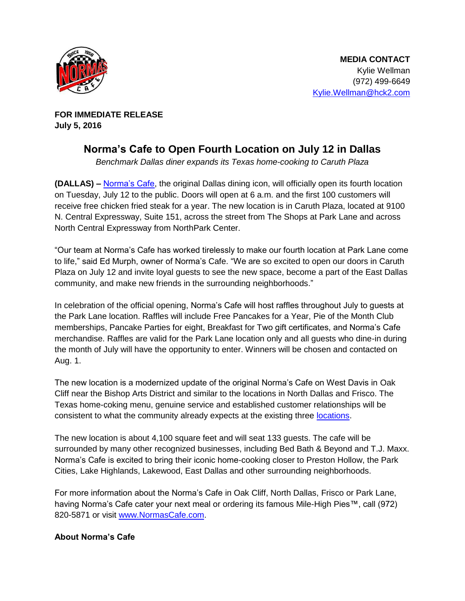

**FOR IMMEDIATE RELEASE July 5, 2016** 

## **Norma's Cafe to Open Fourth Location on July 12 in Dallas**

Benchmark Dallas diner expands its Texas home-cooking to Caruth Plaza

**(DALLAS) –** [Norma's Cafe](http://normascafe.com/), the original Dallas dining icon, will officially open its fourth location on Tuesday, July 12 to the public. Doors will open at 6 a.m. and the first 100 customers will receive free chicken fried steak for a year. The new location is in Caruth Plaza, located at 9100 N. Central Expressway, Suite 151, across the street from The Shops at Park Lane and across North Central Expressway from NorthPark Center.

"Our team at Norma's Cafe has worked tirelessly to make our fourth location at Park Lane come to life," said Ed Murph, owner of Norma's Cafe. "We are so excited to open our doors in Caruth Plaza on July 12 and invite loyal guests to see the new space, become a part of the East Dallas community, and make new friends in the surrounding neighborhoods."

In celebration of the official opening, Norma's Cafe will host raffles throughout July to guests at the Park Lane location. Raffles will include Free Pancakes for a Year, Pie of the Month Club memberships, Pancake Parties for eight, Breakfast for Two gift certificates, and Norma's Cafe merchandise. Raffles are valid for the Park Lane location only and all guests who dine-in during the month of July will have the opportunity to enter. Winners will be chosen and contacted on Aug. 1.

The new location is a modernized update of the original Norma's Cafe on West Davis in Oak Cliff near the Bishop Arts District and similar to the locations in North Dallas and Frisco. The Texas home-coking menu, genuine service and established customer relationships will be consistent to what the community already expects at the existing three [locations.](http://www.normascafe.com/locations)

The new location is about 4,100 square feet and will seat 133 guests. The cafe will be surrounded by many other recognized businesses, including Bed Bath & Beyond and T.J. Maxx. Norma's Cafe is excited to bring their iconic home-cooking closer to Preston Hollow, the Park Cities, Lake Highlands, Lakewood, East Dallas and other surrounding neighborhoods.

For more information about the Norma's Cafe in Oak Cliff, North Dallas, Frisco or Park Lane, having Norma's Cafe cater your next meal or ordering its famous Mile-High Pies™, call (972) 820-5871 or visit [www.NormasCafe.com.](http://www.normascafe.com/)

## **About Norma's Cafe**